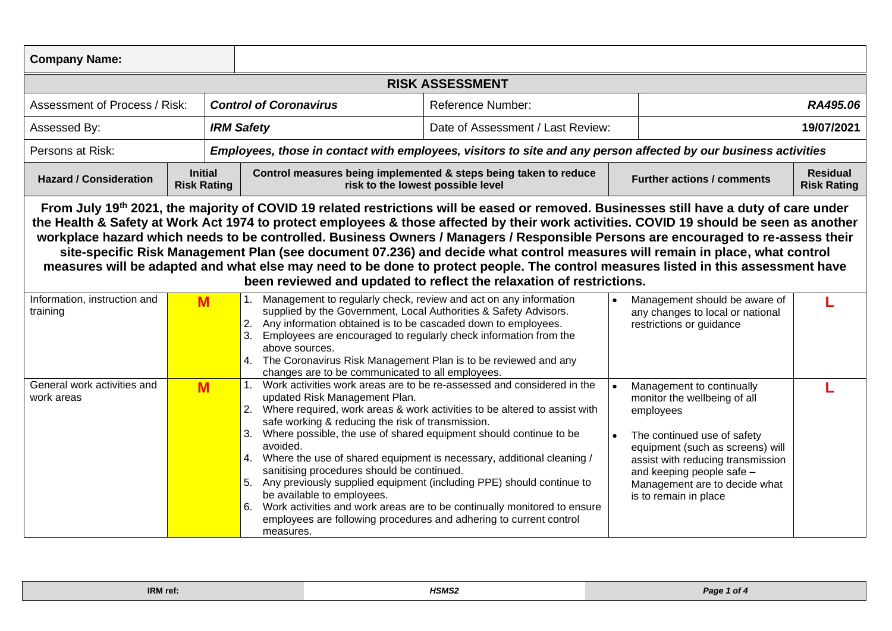| <b>Company Name:</b>                                                                                                                                                                                                                                                                                                                                                                                                                                                                                                                                                                                                                                                                                                                                                 |                                      |                                                                                                                                                                                                                                                                                                                                                                                                                                                                                                                                                                                                                                                                                                                                          |                                                                                                       |  |                                                                                                                                                                                                                                                                       |                                       |  |  |  |
|----------------------------------------------------------------------------------------------------------------------------------------------------------------------------------------------------------------------------------------------------------------------------------------------------------------------------------------------------------------------------------------------------------------------------------------------------------------------------------------------------------------------------------------------------------------------------------------------------------------------------------------------------------------------------------------------------------------------------------------------------------------------|--------------------------------------|------------------------------------------------------------------------------------------------------------------------------------------------------------------------------------------------------------------------------------------------------------------------------------------------------------------------------------------------------------------------------------------------------------------------------------------------------------------------------------------------------------------------------------------------------------------------------------------------------------------------------------------------------------------------------------------------------------------------------------------|-------------------------------------------------------------------------------------------------------|--|-----------------------------------------------------------------------------------------------------------------------------------------------------------------------------------------------------------------------------------------------------------------------|---------------------------------------|--|--|--|
| <b>RISK ASSESSMENT</b>                                                                                                                                                                                                                                                                                                                                                                                                                                                                                                                                                                                                                                                                                                                                               |                                      |                                                                                                                                                                                                                                                                                                                                                                                                                                                                                                                                                                                                                                                                                                                                          |                                                                                                       |  |                                                                                                                                                                                                                                                                       |                                       |  |  |  |
| Assessment of Process / Risk:                                                                                                                                                                                                                                                                                                                                                                                                                                                                                                                                                                                                                                                                                                                                        |                                      | <b>Control of Coronavirus</b>                                                                                                                                                                                                                                                                                                                                                                                                                                                                                                                                                                                                                                                                                                            | <b>Reference Number:</b>                                                                              |  | RA495.06                                                                                                                                                                                                                                                              |                                       |  |  |  |
| Assessed By:                                                                                                                                                                                                                                                                                                                                                                                                                                                                                                                                                                                                                                                                                                                                                         |                                      | <b>IRM Safety</b>                                                                                                                                                                                                                                                                                                                                                                                                                                                                                                                                                                                                                                                                                                                        | Date of Assessment / Last Review:                                                                     |  | 19/07/2021                                                                                                                                                                                                                                                            |                                       |  |  |  |
| Persons at Risk:                                                                                                                                                                                                                                                                                                                                                                                                                                                                                                                                                                                                                                                                                                                                                     |                                      | Employees, those in contact with employees, visitors to site and any person affected by our business activities                                                                                                                                                                                                                                                                                                                                                                                                                                                                                                                                                                                                                          |                                                                                                       |  |                                                                                                                                                                                                                                                                       |                                       |  |  |  |
| <b>Hazard / Consideration</b>                                                                                                                                                                                                                                                                                                                                                                                                                                                                                                                                                                                                                                                                                                                                        | <b>Initial</b><br><b>Risk Rating</b> |                                                                                                                                                                                                                                                                                                                                                                                                                                                                                                                                                                                                                                                                                                                                          | Control measures being implemented & steps being taken to reduce<br>risk to the lowest possible level |  | <b>Further actions / comments</b>                                                                                                                                                                                                                                     | <b>Residual</b><br><b>Risk Rating</b> |  |  |  |
| From July 19th 2021, the majority of COVID 19 related restrictions will be eased or removed. Businesses still have a duty of care under<br>the Health & Safety at Work Act 1974 to protect employees & those affected by their work activities. COVID 19 should be seen as another<br>workplace hazard which needs to be controlled. Business Owners / Managers / Responsible Persons are encouraged to re-assess their<br>site-specific Risk Management Plan (see document 07.236) and decide what control measures will remain in place, what control<br>measures will be adapted and what else may need to be done to protect people. The control measures listed in this assessment have<br>been reviewed and updated to reflect the relaxation of restrictions. |                                      |                                                                                                                                                                                                                                                                                                                                                                                                                                                                                                                                                                                                                                                                                                                                          |                                                                                                       |  |                                                                                                                                                                                                                                                                       |                                       |  |  |  |
| Information, instruction and<br>training                                                                                                                                                                                                                                                                                                                                                                                                                                                                                                                                                                                                                                                                                                                             | M                                    | 1. Management to regularly check, review and act on any information<br>supplied by the Government, Local Authorities & Safety Advisors.<br>2. Any information obtained is to be cascaded down to employees.<br>3.<br>Employees are encouraged to regularly check information from the<br>above sources.<br>4. The Coronavirus Risk Management Plan is to be reviewed and any<br>changes are to be communicated to all employees.                                                                                                                                                                                                                                                                                                         |                                                                                                       |  | Management should be aware of<br>any changes to local or national<br>restrictions or guidance                                                                                                                                                                         | ı.                                    |  |  |  |
| General work activities and<br>work areas                                                                                                                                                                                                                                                                                                                                                                                                                                                                                                                                                                                                                                                                                                                            | M                                    | 1. Work activities work areas are to be re-assessed and considered in the<br>updated Risk Management Plan.<br>2. Where required, work areas & work activities to be altered to assist with<br>safe working & reducing the risk of transmission.<br>3. Where possible, the use of shared equipment should continue to be<br>avoided.<br>4. Where the use of shared equipment is necessary, additional cleaning /<br>sanitising procedures should be continued.<br>5. Any previously supplied equipment (including PPE) should continue to<br>be available to employees.<br>6. Work activities and work areas are to be continually monitored to ensure<br>employees are following procedures and adhering to current control<br>measures. |                                                                                                       |  | Management to continually<br>monitor the wellbeing of all<br>employees<br>The continued use of safety<br>equipment (such as screens) will<br>assist with reducing transmission<br>and keeping people safe -<br>Management are to decide what<br>is to remain in place |                                       |  |  |  |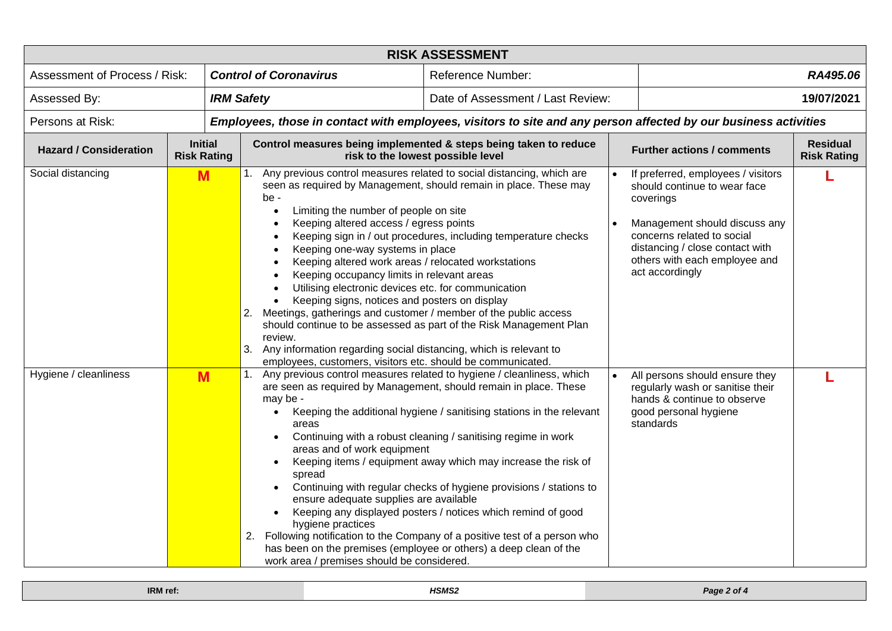| <b>RISK ASSESSMENT</b>            |                                      |                                                                                                                                                                                                                                                                                                                                                                                                                                                                                                                                                                                                                                                           |                                                                                                                                                                                                                                                                                                                                                                                                                                                                                            |                        |                                                                                                                                                                                                                                       |                                       |  |  |
|-----------------------------------|--------------------------------------|-----------------------------------------------------------------------------------------------------------------------------------------------------------------------------------------------------------------------------------------------------------------------------------------------------------------------------------------------------------------------------------------------------------------------------------------------------------------------------------------------------------------------------------------------------------------------------------------------------------------------------------------------------------|--------------------------------------------------------------------------------------------------------------------------------------------------------------------------------------------------------------------------------------------------------------------------------------------------------------------------------------------------------------------------------------------------------------------------------------------------------------------------------------------|------------------------|---------------------------------------------------------------------------------------------------------------------------------------------------------------------------------------------------------------------------------------|---------------------------------------|--|--|
| Assessment of Process / Risk:     |                                      | <b>Control of Coronavirus</b>                                                                                                                                                                                                                                                                                                                                                                                                                                                                                                                                                                                                                             | <b>Reference Number:</b>                                                                                                                                                                                                                                                                                                                                                                                                                                                                   |                        | RA495.06                                                                                                                                                                                                                              |                                       |  |  |
| <b>IRM Safety</b><br>Assessed By: |                                      |                                                                                                                                                                                                                                                                                                                                                                                                                                                                                                                                                                                                                                                           | Date of Assessment / Last Review:                                                                                                                                                                                                                                                                                                                                                                                                                                                          |                        |                                                                                                                                                                                                                                       | 19/07/2021                            |  |  |
| Persons at Risk:                  |                                      |                                                                                                                                                                                                                                                                                                                                                                                                                                                                                                                                                                                                                                                           | Employees, those in contact with employees, visitors to site and any person affected by our business activities                                                                                                                                                                                                                                                                                                                                                                            |                        |                                                                                                                                                                                                                                       |                                       |  |  |
| <b>Hazard / Consideration</b>     | <b>Initial</b><br><b>Risk Rating</b> | Control measures being implemented & steps being taken to reduce<br>risk to the lowest possible level                                                                                                                                                                                                                                                                                                                                                                                                                                                                                                                                                     |                                                                                                                                                                                                                                                                                                                                                                                                                                                                                            |                        | <b>Further actions / comments</b>                                                                                                                                                                                                     | <b>Residual</b><br><b>Risk Rating</b> |  |  |
| Social distancing                 | M                                    | 1. Any previous control measures related to social distancing, which are<br>be -<br>Limiting the number of people on site<br>$\bullet$<br>Keeping altered access / egress points<br>Keeping one-way systems in place<br>Keeping altered work areas / relocated workstations<br>Keeping occupancy limits in relevant areas<br>Utilising electronic devices etc. for communication<br>Keeping signs, notices and posters on display<br>2. Meetings, gatherings and customer / member of the public access<br>review.<br>3. Any information regarding social distancing, which is relevant to<br>employees, customers, visitors etc. should be communicated. | seen as required by Management, should remain in place. These may<br>Keeping sign in / out procedures, including temperature checks<br>should continue to be assessed as part of the Risk Management Plan                                                                                                                                                                                                                                                                                  | $\bullet$<br>$\bullet$ | If preferred, employees / visitors<br>should continue to wear face<br>coverings<br>Management should discuss any<br>concerns related to social<br>distancing / close contact with<br>others with each employee and<br>act accordingly |                                       |  |  |
| Hygiene / cleanliness             | M                                    | may be -<br>$\bullet$<br>areas<br>areas and of work equipment<br>spread<br>$\bullet$<br>ensure adequate supplies are available<br>$\bullet$<br>hygiene practices<br>2. Following notification to the Company of a positive test of a person who<br>has been on the premises (employee or others) a deep clean of the<br>work area / premises should be considered.                                                                                                                                                                                                                                                                                        | Any previous control measures related to hygiene / cleanliness, which<br>are seen as required by Management, should remain in place. These<br>Keeping the additional hygiene / sanitising stations in the relevant<br>Continuing with a robust cleaning / sanitising regime in work<br>Keeping items / equipment away which may increase the risk of<br>Continuing with regular checks of hygiene provisions / stations to<br>Keeping any displayed posters / notices which remind of good |                        | All persons should ensure they<br>regularly wash or sanitise their<br>hands & continue to observe<br>good personal hygiene<br>standards                                                                                               |                                       |  |  |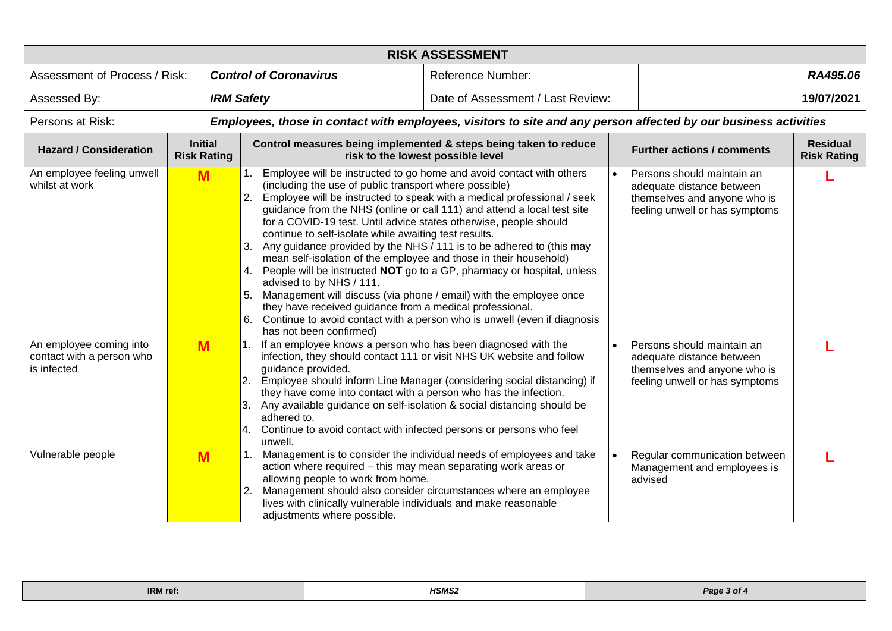| <b>RISK ASSESSMENT</b>                                              |                                      |                               |                                                                                                                                                                                                                                                                                                                                                                                                                                                                                                                                                                                                                              |                                                                                                                                                                                                                                                                                                        |           |                                                                                                                           |                                       |  |  |
|---------------------------------------------------------------------|--------------------------------------|-------------------------------|------------------------------------------------------------------------------------------------------------------------------------------------------------------------------------------------------------------------------------------------------------------------------------------------------------------------------------------------------------------------------------------------------------------------------------------------------------------------------------------------------------------------------------------------------------------------------------------------------------------------------|--------------------------------------------------------------------------------------------------------------------------------------------------------------------------------------------------------------------------------------------------------------------------------------------------------|-----------|---------------------------------------------------------------------------------------------------------------------------|---------------------------------------|--|--|
| Assessment of Process / Risk:                                       |                                      | <b>Control of Coronavirus</b> |                                                                                                                                                                                                                                                                                                                                                                                                                                                                                                                                                                                                                              | <b>Reference Number:</b>                                                                                                                                                                                                                                                                               |           | RA495.06                                                                                                                  |                                       |  |  |
| Assessed By:                                                        |                                      | <b>IRM Safety</b>             |                                                                                                                                                                                                                                                                                                                                                                                                                                                                                                                                                                                                                              | Date of Assessment / Last Review:                                                                                                                                                                                                                                                                      |           | 19/07/2021                                                                                                                |                                       |  |  |
| Persons at Risk:                                                    |                                      |                               | Employees, those in contact with employees, visitors to site and any person affected by our business activities                                                                                                                                                                                                                                                                                                                                                                                                                                                                                                              |                                                                                                                                                                                                                                                                                                        |           |                                                                                                                           |                                       |  |  |
| <b>Hazard / Consideration</b>                                       | <b>Initial</b><br><b>Risk Rating</b> |                               | Control measures being implemented & steps being taken to reduce<br>risk to the lowest possible level                                                                                                                                                                                                                                                                                                                                                                                                                                                                                                                        |                                                                                                                                                                                                                                                                                                        |           | <b>Further actions / comments</b>                                                                                         | <b>Residual</b><br><b>Risk Rating</b> |  |  |
| An employee feeling unwell<br>whilst at work                        | M                                    |                               | (including the use of public transport where possible)<br>2.<br>for a COVID-19 test. Until advice states otherwise, people should<br>continue to self-isolate while awaiting test results.<br>3. Any guidance provided by the NHS / 111 is to be adhered to (this may<br>mean self-isolation of the employee and those in their household)<br>4. People will be instructed NOT go to a GP, pharmacy or hospital, unless<br>advised to by NHS / 111.<br>Management will discuss (via phone / email) with the employee once<br>5.<br>they have received guidance from a medical professional.<br>6.<br>has not been confirmed) | Employee will be instructed to go home and avoid contact with others<br>Employee will be instructed to speak with a medical professional / seek<br>guidance from the NHS (online or call 111) and attend a local test site<br>Continue to avoid contact with a person who is unwell (even if diagnosis | $\bullet$ | Persons should maintain an<br>adequate distance between<br>themselves and anyone who is<br>feeling unwell or has symptoms |                                       |  |  |
| An employee coming into<br>contact with a person who<br>is infected | M                                    |                               | If an employee knows a person who has been diagnosed with the<br>infection, they should contact 111 or visit NHS UK website and follow<br>guidance provided.<br>2.<br>they have come into contact with a person who has the infection.<br>Any available guidance on self-isolation & social distancing should be<br>3.<br>adhered to.<br>Continue to avoid contact with infected persons or persons who feel<br>4.<br>unwell.                                                                                                                                                                                                | Employee should inform Line Manager (considering social distancing) if                                                                                                                                                                                                                                 | $\bullet$ | Persons should maintain an<br>adequate distance between<br>themselves and anyone who is<br>feeling unwell or has symptoms |                                       |  |  |
| Vulnerable people                                                   | M                                    |                               | action where required - this may mean separating work areas or<br>allowing people to work from home.<br>2.<br>lives with clinically vulnerable individuals and make reasonable<br>adjustments where possible.                                                                                                                                                                                                                                                                                                                                                                                                                | Management is to consider the individual needs of employees and take<br>Management should also consider circumstances where an employee                                                                                                                                                                | $\bullet$ | Regular communication between<br>Management and employees is<br>advised                                                   |                                       |  |  |